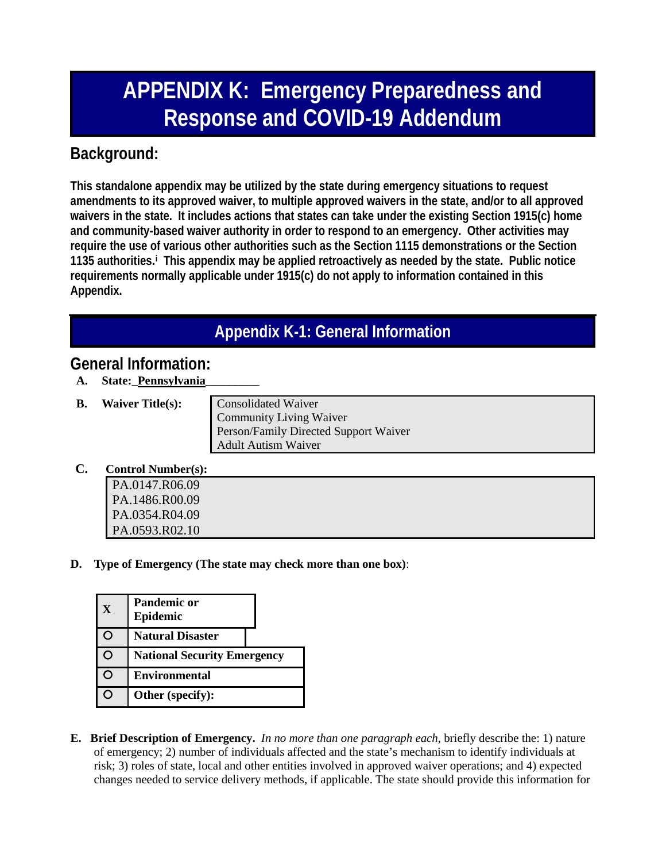# **APPENDIX K: Emergency Preparedness and Response and COVID-19 Addendum**

### **Background:**

**This standalone appendix may be utilized by the state during emergency situations to request amendments to its approved waiver, to multiple approved waivers in the state, and/or to all approved waivers in the state. It includes actions that states can take under the existing Section 1915(c) home and community-based waiver authority in order to respond to an emergency. Other activities may require the use of various other authorities such as the Section 1115 demonstrations or the Section 1135 authorities.[i](#page-2-0) This appendix may be applied retroactively as needed by the state. Public notice requirements normally applicable under 1915(c) do not apply to information contained in this Appendix.**

### **Appendix K-1: General Information**

#### **General Information:**

- **A. State:\_Pennsylvania\_\_\_\_\_\_\_\_\_**
- **B.** Waiver Title(s): Consolidated Waiver

Community Living Waiver Person/Family Directed Support Waiver Adult Autism Waiver

**C. Control Number(s):**

| COMMON PUMMONTSI. |  |
|-------------------|--|
| PA.0147.R06.09    |  |
| PA.1486.R00.09    |  |
| PA.0354.R04.09    |  |
| PA.0593.R02.10    |  |

**D. Type of Emergency (The state may check more than one box)**:

| X | <b>Pandemic or</b><br>Epidemic     |
|---|------------------------------------|
|   | <b>Natural Disaster</b>            |
| Э | <b>National Security Emergency</b> |
| 0 | <b>Environmental</b>               |
| 0 | Other (specify):                   |

**E. Brief Description of Emergency.** *In no more than one paragraph each*, briefly describe the: 1) nature of emergency; 2) number of individuals affected and the state's mechanism to identify individuals at risk; 3) roles of state, local and other entities involved in approved waiver operations; and 4) expected changes needed to service delivery methods, if applicable. The state should provide this information for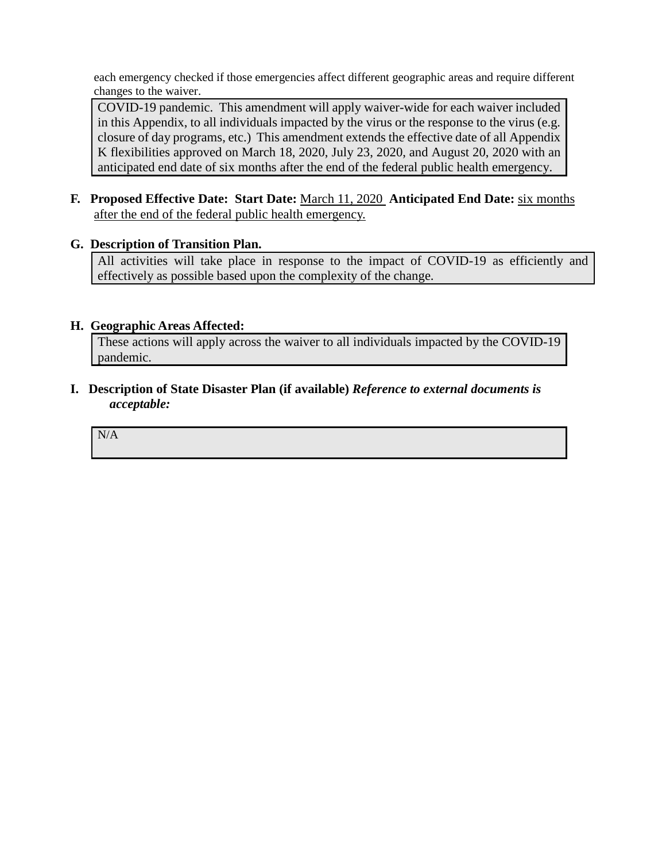each emergency checked if those emergencies affect different geographic areas and require different changes to the waiver.

COVID-19 pandemic. This amendment will apply waiver-wide for each waiver included in this Appendix, to all individuals impacted by the virus or the response to the virus (e.g. closure of day programs, etc.) This amendment extends the effective date of all Appendix K flexibilities approved on March 18, 2020, July 23, 2020, and August 20, 2020 with an anticipated end date of six months after the end of the federal public health emergency.

**F. Proposed Effective Date: Start Date:** March 11, 2020 **Anticipated End Date:** six months after the end of the federal public health emergency.

#### **G. Description of Transition Plan.**

All activities will take place in response to the impact of COVID-19 as efficiently and effectively as possible based upon the complexity of the change.

#### **H. Geographic Areas Affected:**

These actions will apply across the waiver to all individuals impacted by the COVID-19 pandemic.

**I. Description of State Disaster Plan (if available)** *Reference to external documents is acceptable:*

N/A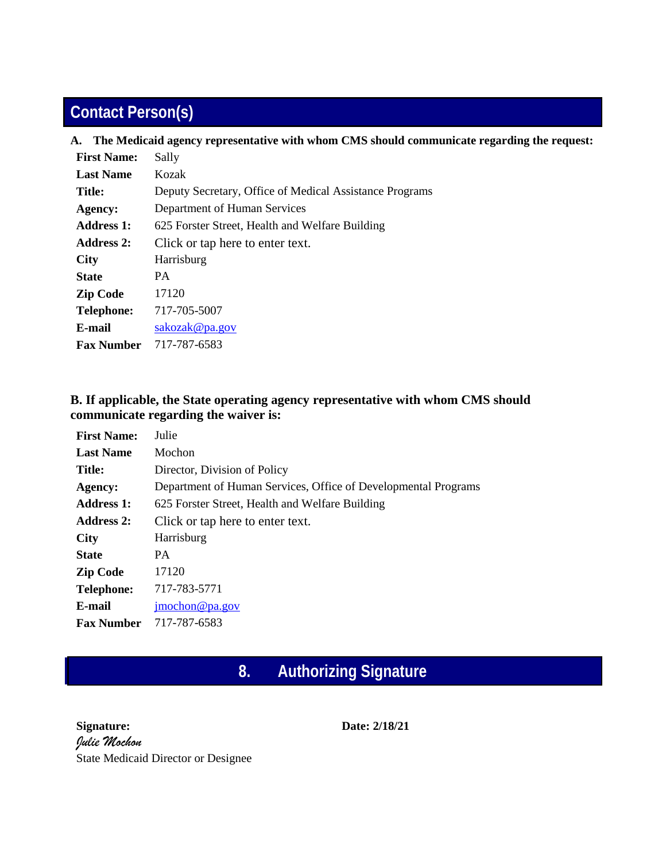## **Contact Person(s)**

| A. The Medicaid agency representative with whom CMS should communicate regarding the request: |  |  |  |
|-----------------------------------------------------------------------------------------------|--|--|--|
| Sally                                                                                         |  |  |  |
| Kozak                                                                                         |  |  |  |
| Deputy Secretary, Office of Medical Assistance Programs                                       |  |  |  |
| Department of Human Services                                                                  |  |  |  |
| 625 Forster Street, Health and Welfare Building                                               |  |  |  |
| Click or tap here to enter text.                                                              |  |  |  |
| Harrisburg                                                                                    |  |  |  |
| <b>PA</b>                                                                                     |  |  |  |
| 17120                                                                                         |  |  |  |
| 717-705-5007                                                                                  |  |  |  |
| sakozak@pa.gov                                                                                |  |  |  |
| 717-787-6583                                                                                  |  |  |  |
|                                                                                               |  |  |  |

#### <span id="page-2-0"></span>**B. If applicable, the State operating agency representative with whom CMS should communicate regarding the waiver is:**

| <b>First Name:</b> | Julie                                                          |
|--------------------|----------------------------------------------------------------|
| <b>Last Name</b>   | Mochon                                                         |
| <b>Title:</b>      | Director, Division of Policy                                   |
| Agency:            | Department of Human Services, Office of Developmental Programs |
| Address 1:         | 625 Forster Street, Health and Welfare Building                |
| <b>Address 2:</b>  | Click or tap here to enter text.                               |
| <b>City</b>        | Harrisburg                                                     |
| <b>State</b>       | <b>PA</b>                                                      |
| <b>Zip Code</b>    | 17120                                                          |
| <b>Telephone:</b>  | 717-783-5771                                                   |
| E-mail             | $\text{imochon}\ \textcircled{e}$ pa.gov                       |
| <b>Fax Number</b>  | 717-787-6583                                                   |

### **8. Authorizing Signature**

**Signature:**  *Julie Mochon* State Medicaid Director or Designee **Date: 2/18/21**